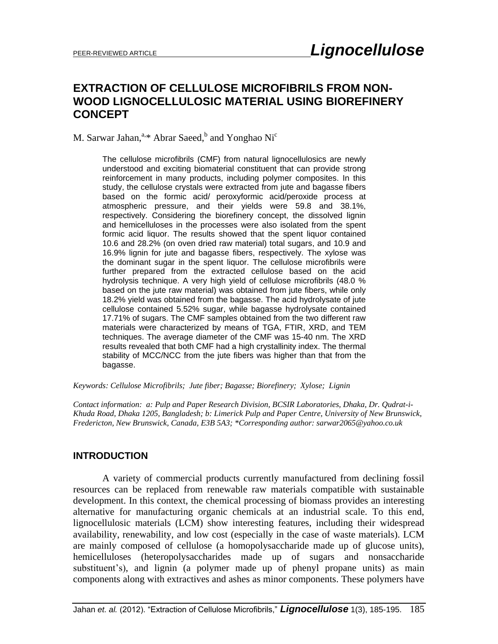# **EXTRACTION OF CELLULOSE MICROFIBRILS FROM NON-WOOD LIGNOCELLULOSIC MATERIAL USING BIOREFINERY CONCEPT**

M. Sarwar Jahan,<sup>a,\*</sup> Abrar Saeed,<sup>b</sup> and Yonghao Ni<sup>c</sup>

The cellulose microfibrils (CMF) from natural lignocellulosics are newly understood and exciting biomaterial constituent that can provide strong reinforcement in many products, including polymer composites. In this study, the cellulose crystals were extracted from jute and bagasse fibers based on the formic acid/ peroxyformic acid/peroxide process at atmospheric pressure, and their yields were 59.8 and 38.1%, respectively. Considering the biorefinery concept, the dissolved lignin and hemicelluloses in the processes were also isolated from the spent formic acid liquor. The results showed that the spent liquor contained 10.6 and 28.2% (on oven dried raw material) total sugars, and 10.9 and 16.9% lignin for jute and bagasse fibers, respectively. The xylose was the dominant sugar in the spent liquor. The cellulose microfibrils were further prepared from the extracted cellulose based on the acid hydrolysis technique. A very high yield of cellulose microfibrils (48.0 % based on the jute raw material) was obtained from jute fibers, while only 18.2% yield was obtained from the bagasse. The acid hydrolysate of jute cellulose contained 5.52% sugar, while bagasse hydrolysate contained 17.71% of sugars. The CMF samples obtained from the two different raw materials were characterized by means of TGA, FTIR, XRD, and TEM techniques. The average diameter of the CMF was 15-40 nm. The XRD results revealed that both CMF had a high crystallinity index. The thermal stability of MCC/NCC from the jute fibers was higher than that from the bagasse.

*Keywords: Cellulose Microfibrils; Jute fiber; Bagasse; Biorefinery; Xylose; Lignin*

*Contact information: a: Pulp and Paper Research Division, BCSIR Laboratories, Dhaka, Dr. Qudrat-i-Khuda Road, Dhaka 1205, Bangladesh; b: Limerick Pulp and Paper Centre, University of New Brunswick, Fredericton, New Brunswick, Canada, E3B 5A3; \*Corresponding author: sarwar2065@yahoo.co.uk*

## **INTRODUCTION**

A variety of commercial products currently manufactured from declining fossil resources can be replaced from renewable raw materials compatible with sustainable development. In this context, the chemical processing of biomass provides an interesting alternative for manufacturing organic chemicals at an industrial scale. To this end, lignocellulosic materials (LCM) show interesting features, including their widespread availability, renewability, and low cost (especially in the case of waste materials). LCM are mainly composed of cellulose (a homopolysaccharide made up of glucose units), hemicelluloses (heteropolysaccharides made up of sugars and nonsaccharide substituent's), and lignin (a polymer made up of phenyl propane units) as main components along with extractives and ashes as minor components. These polymers have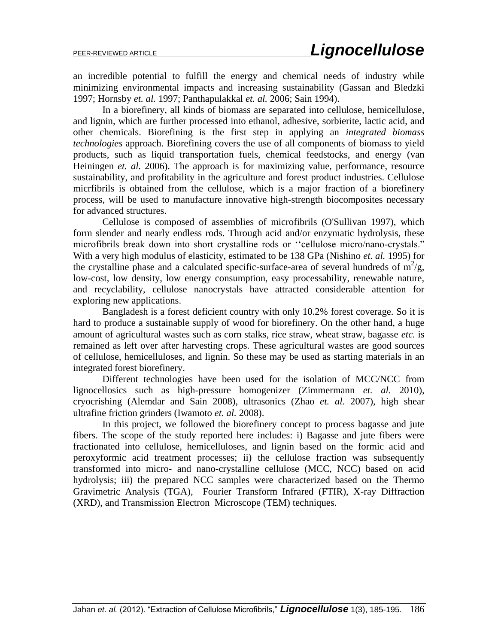an incredible potential to fulfill the energy and chemical needs of industry while minimizing environmental impacts and increasing sustainability (Gassan and Bledzki 1997; Hornsby *et. al.* 1997; Panthapulakkal *et. al.* 2006; Sain 1994).

In a biorefinery, all kinds of biomass are separated into cellulose, hemicellulose, and lignin, which are further processed into ethanol, adhesive, sorbierite, lactic acid, and other chemicals. Biorefining is the first step in applying an *integrated biomass technologies* approach. Biorefining covers the use of all components of biomass to yield products, such as liquid transportation fuels, chemical feedstocks, and energy (van Heiningen *et. al.* 2006). The approach is for maximizing value, performance, resource sustainability, and profitability in the agriculture and forest product industries. Cellulose micrfibrils is obtained from the cellulose, which is a major fraction of a biorefinery process, will be used to manufacture innovative high-strength biocomposites necessary for advanced structures.

Cellulose is composed of assemblies of microfibrils (O'Sullivan 1997), which form slender and nearly endless rods. Through acid and/or enzymatic hydrolysis, these microfibrils break down into short crystalline rods or ""cellulose micro/nano-crystals." With a very high modulus of elasticity, estimated to be 138 GPa (Nishino *et. al.* 1995) for the crystalline phase and a calculated specific-surface-area of several hundreds of  $m^2/g$ , low-cost, low density, low energy consumption, easy processability, renewable nature, and recyclability, cellulose nanocrystals have attracted considerable attention for exploring new applications.

Bangladesh is a forest deficient country with only 10.2% forest coverage. So it is hard to produce a sustainable supply of wood for biorefinery. On the other hand, a huge amount of agricultural wastes such as corn stalks, rice straw, wheat straw, bagasse *etc.* is remained as left over after harvesting crops. These agricultural wastes are good sources of cellulose, hemicelluloses, and lignin. So these may be used as starting materials in an integrated forest biorefinery.

Different technologies have been used for the isolation of MCC/NCC from lignocellosics such as high-pressure homogenizer (Zimmermann *et. al.* 2010), cryocrishing (Alemdar and Sain 2008), ultrasonics (Zhao *et. al.* 2007), high shear ultrafine friction grinders (Iwamoto *et. al.* 2008).

In this project, we followed the biorefinery concept to process bagasse and jute fibers. The scope of the study reported here includes: i) Bagasse and jute fibers were fractionated into cellulose, hemicelluloses, and lignin based on the formic acid and peroxyformic acid treatment processes; ii) the cellulose fraction was subsequently transformed into micro- and nano-crystalline cellulose (MCC, NCC) based on acid hydrolysis; iii) the prepared NCC samples were characterized based on the Thermo Gravimetric Analysis (TGA), Fourier Transform Infrared (FTIR), X-ray Diffraction (XRD), and Transmission Electron Microscope (TEM) techniques.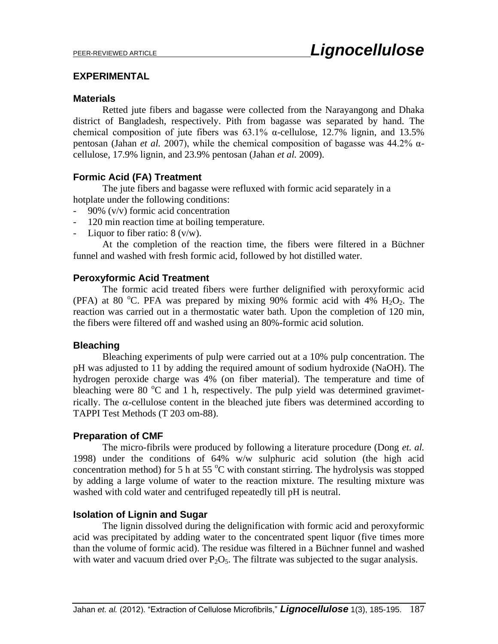## **EXPERIMENTAL**

## **Materials**

Retted jute fibers and bagasse were collected from the Narayangong and Dhaka district of Bangladesh, respectively. Pith from bagasse was separated by hand. The chemical composition of jute fibers was  $63.1\%$  α-cellulose,  $12.7\%$  lignin, and  $13.5\%$ pentosan (Jahan *et al.* 2007), while the chemical composition of bagasse was 44.2% αcellulose, 17.9% lignin, and 23.9% pentosan (Jahan *et al.* 2009).

## **Formic Acid (FA) Treatment**

The jute fibers and bagasse were refluxed with formic acid separately in a hotplate under the following conditions:

- 90% (v/v) formic acid concentration
- 120 min reaction time at boiling temperature.
- Liquor to fiber ratio:  $8 \frac{\text{v}}{\text{w}}$ .

At the completion of the reaction time, the fibers were filtered in a Büchner funnel and washed with fresh formic acid, followed by hot distilled water.

## **Peroxyformic Acid Treatment**

The formic acid treated fibers were further delignified with peroxyformic acid (PFA) at 80 °C. PFA was prepared by mixing 90% formic acid with 4%  $H_2O_2$ . The reaction was carried out in a thermostatic water bath. Upon the completion of 120 min, the fibers were filtered off and washed using an 80%-formic acid solution.

### **Bleaching**

Bleaching experiments of pulp were carried out at a 10% pulp concentration. The pH was adjusted to 11 by adding the required amount of sodium hydroxide (NaOH). The hydrogen peroxide charge was 4% (on fiber material). The temperature and time of bleaching were 80  $\degree$ C and 1 h, respectively. The pulp yield was determined gravimetrically. The  $\alpha$ -cellulose content in the bleached jute fibers was determined according to TAPPI Test Methods (T 203 om-88).

## **Preparation of CMF**

The micro-fibrils were produced by following a literature procedure (Dong *et. al.* 1998) under the conditions of 64% w/w sulphuric acid solution (the high acid concentration method) for 5 h at 55  $\degree$ C with constant stirring. The hydrolysis was stopped by adding a large volume of water to the reaction mixture. The resulting mixture was washed with cold water and centrifuged repeatedly till pH is neutral.

## **Isolation of Lignin and Sugar**

The lignin dissolved during the delignification with formic acid and peroxyformic acid was precipitated by adding water to the concentrated spent liquor (five times more than the volume of formic acid). The residue was filtered in a Büchner funnel and washed with water and vacuum dried over  $P_2O_5$ . The filtrate was subjected to the sugar analysis.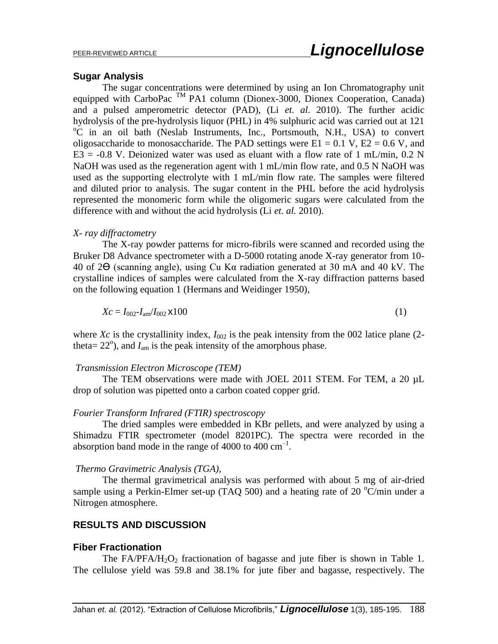### **Sugar Analysis**

The sugar concentrations were determined by using an Ion Chromatography unit equipped with CarboPac TM PA1 column (Dionex-3000, Dionex Cooperation, Canada) and a pulsed amperometric detector (PAD), (Li *et. al.* 2010). The further acidic hydrolysis of the pre-hydrolysis liquor (PHL) in 4% sulphuric acid was carried out at 121 <sup>o</sup>C in an oil bath (Neslab Instruments, Inc., Portsmouth, N.H., USA) to convert oligosaccharide to monosaccharide. The PAD settings were  $E1 = 0.1$  V,  $E2 = 0.6$  V, and  $E3 = -0.8$  V. Deionized water was used as eluant with a flow rate of 1 mL/min, 0.2 N NaOH was used as the regeneration agent with 1 mL/min flow rate, and 0.5 N NaOH was used as the supporting electrolyte with 1 mL/min flow rate. The samples were filtered and diluted prior to analysis. The sugar content in the PHL before the acid hydrolysis represented the monomeric form while the oligomeric sugars were calculated from the difference with and without the acid hydrolysis (Li *et. al.* 2010).

#### *X- ray diffractometry*

The X-ray powder patterns for micro-fibrils were scanned and recorded using the Bruker D8 Advance spectrometer with a D-5000 rotating anode X-ray generator from 10- 40 of 2ϴ (scanning angle), using Cu Kα radiation generated at 30 mA and 40 kV. The crystalline indices of samples were calculated from the X-ray diffraction patterns based on the following equation 1 (Hermans and Weidinger 1950),

$$
Xc = I_{002} - I_{am}/I_{002} \times 100
$$
 (1)

where *Xc* is the crystallinity index,  $I_{002}$  is the peak intensity from the 002 latice plane (2theta=  $22^{\circ}$ ), and  $I_{\text{am}}$  is the peak intensity of the amorphous phase.

#### *Transmission Electron Microscope (TEM)*

The TEM observations were made with JOEL 2011 STEM. For TEM, a 20 µL drop of solution was pipetted onto a carbon coated copper grid.

#### *Fourier Transform Infrared (FTIR) spectroscopy*

The dried samples were embedded in KBr pellets, and were analyzed by using a Shimadzu FTIR spectrometer (model 8201PC). The spectra were recorded in the absorption band mode in the range of 4000 to 400  $\text{cm}^{-1}$ .

#### *Thermo Gravimetric Analysis (TGA),*

The thermal gravimetrical analysis was performed with about 5 mg of air-dried sample using a Perkin-Elmer set-up (TAQ 500) and a heating rate of 20  $^{\circ}$ C/min under a Nitrogen atmosphere.

## **RESULTS AND DISCUSSION**

#### **Fiber Fractionation**

The FA/PFA/H<sub>2</sub>O<sub>2</sub> fractionation of bagasse and jute fiber is shown in Table 1. The cellulose yield was 59.8 and 38.1% for jute fiber and bagasse, respectively. The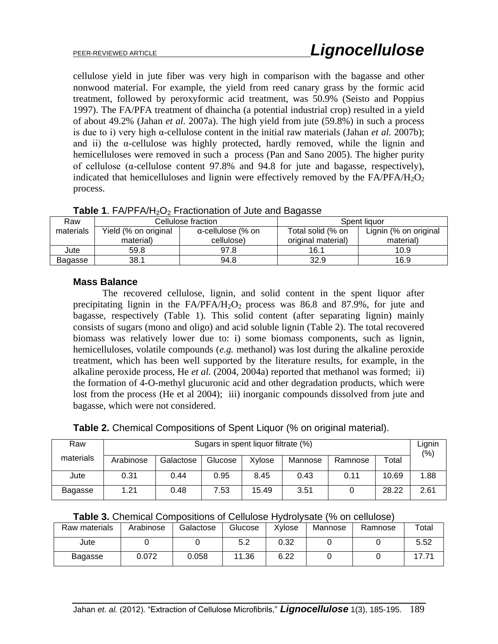cellulose yield in jute fiber was very high in comparison with the bagasse and other nonwood material. For example, the yield from reed canary grass by the formic acid treatment, followed by peroxyformic acid treatment, was 50.9% (Seisto and Poppius 1997). The FA/PFA treatment of dhaincha (a potential industrial crop) resulted in a yield of about 49.2% (Jahan *et al.* 2007a). The high yield from jute (59.8%) in such a process is due to i) very high α-cellulose content in the initial raw materials (Jahan *et al.* 2007b); and ii) the α-cellulose was highly protected, hardly removed, while the lignin and hemicelluloses were removed in such a process (Pan and Sano 2005). The higher purity of cellulose (α-cellulose content 97.8% and 94.8 for jute and bagasse, respectively), indicated that hemicelluloses and lignin were effectively removed by the  $FA/PPA/H<sub>2</sub>O<sub>2</sub>$ process.

| Raw       |                      | Cellulose fraction        | Spent liquor       |                       |  |
|-----------|----------------------|---------------------------|--------------------|-----------------------|--|
| materials | Yield (% on original | $\alpha$ -cellulose (% on |                    | Lignin (% on original |  |
|           | material)            | cellulose)                | original material) | material)             |  |
| Jute      | 59.8                 | 97.8                      | 16.1               | 10.9                  |  |
| Bagasse   | 38.1                 | 94.8                      | 32.9               | 16.9                  |  |

**Table 1.** FA/PFA/H<sub>2</sub>O<sub>2</sub> Fractionation of Jute and Bagasse

## **Mass Balance**

The recovered cellulose, lignin, and solid content in the spent liquor after precipitating lignin in the  $FA/PFA/H<sub>2</sub>O<sub>2</sub>$  process was 86.8 and 87.9%, for jute and bagasse, respectively (Table 1). This solid content (after separating lignin) mainly consists of sugars (mono and oligo) and acid soluble lignin (Table 2). The total recovered biomass was relatively lower due to: i) some biomass components, such as lignin, hemicelluloses, volatile compounds (*e.g.* methanol) was lost during the alkaline peroxide treatment, which has been well supported by the literature results, for example, in the alkaline peroxide process, He *et al.* (2004, 2004a) reported that methanol was formed; ii) the formation of 4-O-methyl glucuronic acid and other degradation products, which were lost from the process (He et al 2004); iii) inorganic compounds dissolved from jute and bagasse, which were not considered.

| Table 2. Chemical Compositions of Spent Liquor (% on original material). |  |  |  |  |
|--------------------------------------------------------------------------|--|--|--|--|
|--------------------------------------------------------------------------|--|--|--|--|

| Sugars in spent liquor filtrate (%)<br>Raw |           |           |         |        |         |         |       | Lignin<br>$(\% )$ |
|--------------------------------------------|-----------|-----------|---------|--------|---------|---------|-------|-------------------|
| materials                                  | Arabinose | Galactose | Glucose | Xvlose | Mannose | Ramnose | Total |                   |
| Jute                                       | 0.31      | 0.44      | 0.95    | 8.45   | 0.43    | 0.11    | 10.69 | 1.88              |
| Bagasse                                    | 1.21      | 0.48      | 7.53    | 15.49  | 3.51    |         | 28.22 | 2.61              |

|  |  | Table 3. Chemical Compositions of Cellulose Hydrolysate (% on cellulose) |  |  |  |
|--|--|--------------------------------------------------------------------------|--|--|--|
|--|--|--------------------------------------------------------------------------|--|--|--|

| Raw materials  | Arabinose | Galactose | Glucose | Xylose | Mannose | Ramnose | Total |
|----------------|-----------|-----------|---------|--------|---------|---------|-------|
| Jute           |           |           | 5.2     | 0.32   |         |         | 5.52  |
| <b>Bagasse</b> | 0.072     | 0.058     | 11.36   | 6.22   |         |         |       |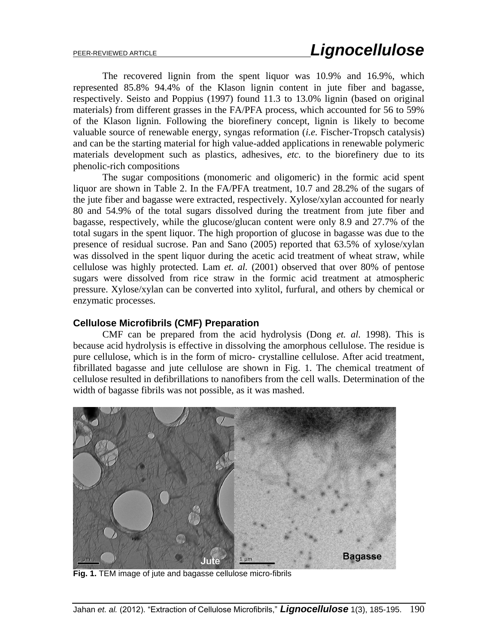The recovered lignin from the spent liquor was 10.9% and 16.9%, which represented 85.8% 94.4% of the Klason lignin content in jute fiber and bagasse, respectively. Seisto and Poppius (1997) found 11.3 to 13.0% lignin (based on original materials) from different grasses in the FA/PFA process, which accounted for 56 to 59% of the Klason lignin. Following the biorefinery concept, lignin is likely to become valuable source of renewable energy, syngas reformation (*i.e.* Fischer-Tropsch catalysis) and can be the starting material for high value-added applications in renewable polymeric materials development such as plastics, adhesives, *etc.* to the biorefinery due to its phenolic-rich compositions

The sugar compositions (monomeric and oligomeric) in the formic acid spent liquor are shown in Table 2. In the FA/PFA treatment, 10.7 and 28.2% of the sugars of the jute fiber and bagasse were extracted, respectively. Xylose/xylan accounted for nearly 80 and 54.9% of the total sugars dissolved during the treatment from jute fiber and bagasse, respectively, while the glucose/glucan content were only 8.9 and 27.7% of the total sugars in the spent liquor. The high proportion of glucose in bagasse was due to the presence of residual sucrose. Pan and Sano (2005) reported that 63.5% of xylose/xylan was dissolved in the spent liquor during the acetic acid treatment of wheat straw, while cellulose was highly protected. Lam *et. al.* (2001) observed that over 80% of pentose sugars were dissolved from rice straw in the formic acid treatment at atmospheric pressure. Xylose/xylan can be converted into xylitol, furfural, and others by chemical or enzymatic processes.

### **Cellulose Microfibrils (CMF) Preparation**

CMF can be prepared from the acid hydrolysis (Dong *et. al.* 1998). This is because acid hydrolysis is effective in dissolving the amorphous cellulose. The residue is pure cellulose, which is in the form of micro- crystalline cellulose. After acid treatment, fibrillated bagasse and jute cellulose are shown in Fig. 1. The chemical treatment of cellulose resulted in defibrillations to nanofibers from the cell walls. Determination of the width of bagasse fibrils was not possible, as it was mashed.



**Fig. 1.** TEM image of jute and bagasse cellulose micro-fibrils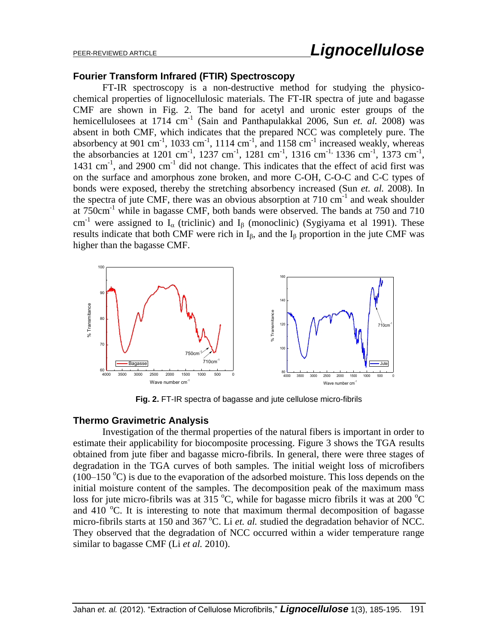#### **Fourier Transform Infrared (FTIR) Spectroscopy**

FT-IR spectroscopy is a non-destructive method for studying the physicochemical properties of lignocellulosic materials. The FT-IR spectra of jute and bagasse CMF are shown in Fig. 2. The band for acetyl and uronic ester groups of the hemicellulosees at 1714 cm<sup>-1</sup> (Sain and Panthapulakkal 2006, Sun *et. al.* 2008) was absent in both CMF, which indicates that the prepared NCC was completely pure. The absorbency at 901 cm<sup>-1</sup>, 1033 cm<sup>-1</sup>, 1114 cm<sup>-1</sup>, and 1158 cm<sup>-1</sup> increased weakly, whereas the absorbancies at 1201 cm<sup>-1</sup>, 1237 cm<sup>-1</sup>, 1281 cm<sup>-1</sup>, 1316 cm<sup>-1,</sup> 1336 cm<sup>-1</sup>, 1373 cm<sup>-1</sup>, 1431  $\text{cm}^{-1}$ , and 2900  $\text{cm}^{-1}$  did not change. This indicates that the effect of acid first was on the surface and amorphous zone broken, and more C-OH, C-O-C and C-C types of bonds were exposed, thereby the stretching absorbency increased (Sun *et. al.* 2008). In the spectra of jute CMF, there was an obvious absorption at  $710 \text{ cm}^{-1}$  and weak shoulder at 750cm-1 while in bagasse CMF, both bands were observed. The bands at 750 and 710 cm<sup>-1</sup> were assigned to  $I_{\alpha}$  (triclinic) and  $I_{\beta}$  (monoclinic) (Sygiyama et al 1991). These results indicate that both CMF were rich in  $I_{\beta}$ , and the  $I_{\beta}$  proportion in the jute CMF was higher than the bagasse CMF.



**Fig. 2.** FT-IR spectra of bagasse and jute cellulose micro-fibrils

### **Thermo Gravimetric Analysis**

Investigation of the thermal properties of the natural fibers is important in order to estimate their applicability for biocomposite processing. Figure 3 shows the TGA results obtained from jute fiber and bagasse micro-fibrils. In general, there were three stages of degradation in the TGA curves of both samples. The initial weight loss of microfibers  $(100-150 \degree C)$  is due to the evaporation of the adsorbed moisture. This loss depends on the initial moisture content of the samples. The decomposition peak of the maximum mass loss for jute micro-fibrils was at 315  $\degree$ C, while for bagasse micro fibrils it was at 200  $\degree$ C and 410  $^{\circ}$ C. It is interesting to note that maximum thermal decomposition of bagasse micro-fibrils starts at 150 and 367 °C. Li *et. al.* studied the degradation behavior of NCC. They observed that the degradation of NCC occurred within a wider temperature range similar to bagasse CMF (Li *et al.* 2010).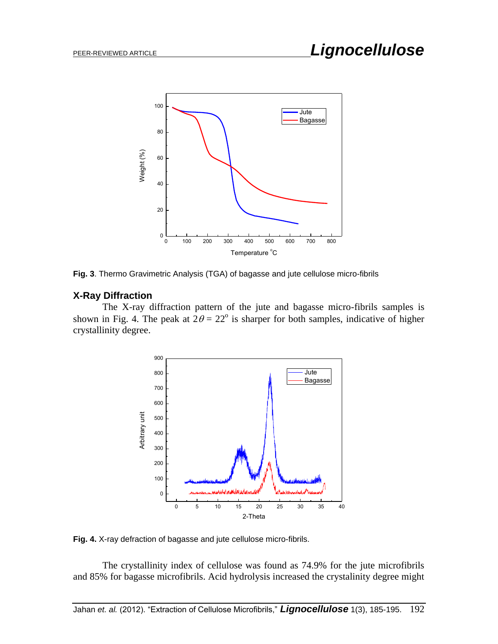

**Fig. 3**. Thermo Gravimetric Analysis (TGA) of bagasse and jute cellulose micro-fibrils

#### **X-Ray Diffraction**

The X-ray diffraction pattern of the jute and bagasse micro-fibrils samples is shown in Fig. 4. The peak at  $2\theta = 22^{\circ}$  is sharper for both samples, indicative of higher crystallinity degree.



**Fig. 4.** X-ray defraction of bagasse and jute cellulose micro-fibrils.

The crystallinity index of cellulose was found as 74.9% for the jute microfibrils and 85% for bagasse microfibrils. Acid hydrolysis increased the crystalinity degree might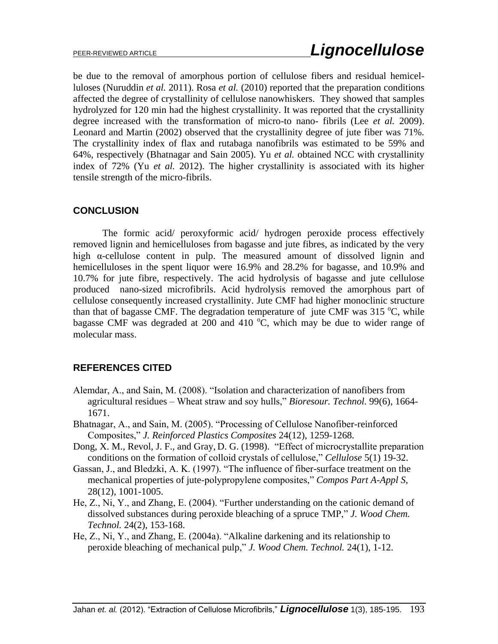be due to the removal of amorphous portion of cellulose fibers and residual hemicelluloses (Nuruddin *et al.* 2011). Rosa *et al.* (2010) reported that the preparation conditions affected the degree of crystallinity of cellulose nanowhiskers. They showed that samples hydrolyzed for 120 min had the highest crystallinity. It was reported that the crystallinity degree increased with the transformation of micro-to nano- fibrils (Lee *et al.* 2009). Leonard and Martin (2002) observed that the crystallinity degree of jute fiber was 71%. The crystallinity index of flax and rutabaga nanofibrils was estimated to be 59% and 64%, respectively (Bhatnagar and Sain 2005). Yu *et al.* obtained NCC with crystallinity index of 72% (Yu *et al.* 2012). The higher crystallinity is associated with its higher tensile strength of the micro-fibrils.

## **CONCLUSION**

The formic acid/ peroxyformic acid/ hydrogen peroxide process effectively removed lignin and hemicelluloses from bagasse and jute fibres, as indicated by the very high α-cellulose content in pulp. The measured amount of dissolved lignin and hemicelluloses in the spent liquor were 16.9% and 28.2% for bagasse, and 10.9% and 10.7% for jute fibre, respectively. The acid hydrolysis of bagasse and jute cellulose produced nano-sized microfibrils. Acid hydrolysis removed the amorphous part of cellulose consequently increased crystallinity. Jute CMF had higher monoclinic structure than that of bagasse CMF. The degradation temperature of jute CMF was  $315\text{ °C}$ , while bagasse CMF was degraded at 200 and 410  $^{\circ}$ C, which may be due to wider range of molecular mass.

## **REFERENCES CITED**

- Alemdar, A., and Sain, M. (2008). "Isolation and characterization of nanofibers from agricultural residues – Wheat straw and soy hulls," *[Bioresour. Technol.](http://www.sciencedirect.com/science/journal/09608524)* 99(6), 1664- 1671.
- Bhatnagar, A., and Sain, M. (2005). "Processing of Cellulose Nanofiber-reinforced Composites," *J. Reinforced Plastics Composites* 24(12), 1259-1268.
- Dong, X. M., Revol, J. F., and Gray, D. G. (1998). "Effect of microcrystallite preparation conditions on the formation of colloid crystals of cellulose," *Cellulose* 5(1) 19-32.
- Gassan, J., and Bledzki, A. K. (1997). "The influence of fiber-surface treatment on the mechanical properties of jute-polypropylene composites," *Compos Part A-Appl S,*  28(12), 1001-1005.
- He, Z., Ni, Y., and Zhang, E. (2004). "Further understanding on the cationic demand of dissolved substances during peroxide bleaching of a spruce TMP," *[J. Wood Chem.](http://www.informaworld.com/smpp/title~db=all~content=t713597282)  [Technol.](http://www.informaworld.com/smpp/title~db=all~content=t713597282)* [24\(](http://www.informaworld.com/smpp/title~db=all~content=t713597282~tab=issueslist~branches=24#v24)2), 153-168.
- He, Z., Ni, Y., and Zhang, E. (2004a). ["Alkaline darkening and its relationship to](http://www.informaworld.com/smpp/content~db=all~content=a713749948)  [peroxide bleaching of mechanical pulp,](http://www.informaworld.com/smpp/content~db=all~content=a713749948)" *[J. Wood Chem. Technol.](http://www.informaworld.com/smpp/title~db=all~content=t713597282)* [24\(](http://www.informaworld.com/smpp/title~db=all~content=t713597282~tab=issueslist~branches=24#v24)[1\),](http://www.informaworld.com/smpp/title~db=all~content=g713749961) 1-12.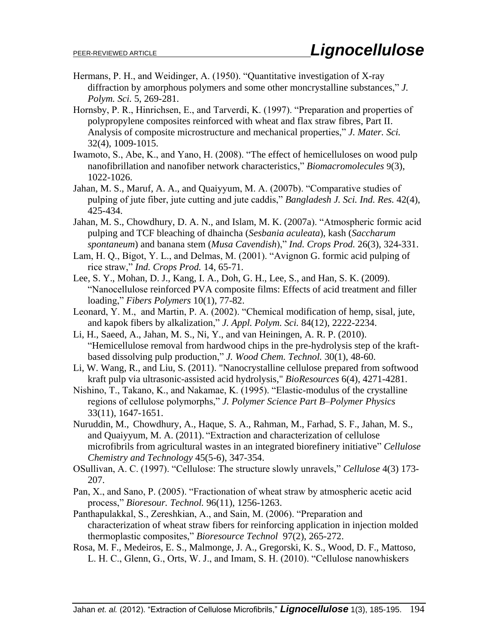- Hermans, P. H., and Weidinger, A. (1950). "Quantitative investigation of X-ray diffraction by amorphous polymers and some other moncrystalline substances," *J. Polym. Sci.* 5, 269-281.
- Hornsby, P. R., Hinrichsen, E., and Tarverdi, K. (1997). "Preparation and properties of polypropylene composites reinforced with wheat and flax straw fibres, Part II. Analysis of composite microstructure and mechanical properties," *J. Mater. Sci.* 32(4), 1009-1015.
- Iwamoto, S., Abe, K., and Yano, H. (2008). "The effect of hemicelluloses on wood pulp nanofibrillation and nanofiber network characteristics," *Biomacromolecules* 9(3), 1022-1026.
- Jahan, M. S., Maruf, A. A., and Quaiyyum, M. A. (2007b). "Comparative studies of pulping of jute fiber, jute cutting and jute caddis," *Bangladesh J. Sci. Ind. Res.* 42(4), 425-434.
- Jahan, M. S., Chowdhury, D. A. N., and Islam, M. K. (2007a). "Atmospheric formic acid pulping and TCF bleaching of dhaincha (*Sesbania aculeata*), kash (*Saccharum spontaneum*) and banana stem (*Musa Cavendish*)," *[Ind. Crops Prod.](http://www.sciencedirect.com/science/journal/09266690)* [26\(3](http://www.sciencedirect.com/science?_ob=PublicationURL&_tockey=%23TOC%235051%232007%23999739996%23667121%23FLA%23&_cdi=5051&_pubType=J&view=c&_auth=y&_acct=C000051277&_version=1&_urlVersion=0&_userid=1069331&md5=fda526f81a5b910bc3166027885dc841)), 324-331.
- Lam, H. Q., Bigot, Y. L., and Delmas, M. (2001). "Avignon G. formic acid pulping of rice straw," *Ind. Crops Prod.* 14, 65-71.
- Lee, S. Y., Mohan, D. J., Kang, I. A., Doh, G. H., Lee, S., and Han, S. K. (2009). "Nanocellulose reinforced PVA composite films: Effects of acid treatment and filler loading," *Fibers Polymers* 10(1), 77-82.
- Leonard, Y. M., and Martin, P. A. (2002). "Chemical modification of hemp, sisal, jute, and kapok fibers by alkalization," *J. Appl. Polym. Sci.* 84(12), 2222-2234.
- Li, H., Saeed, A., Jahan, M. S., Ni, Y., and van Heiningen, A. R. P. (2010). "Hemicellulose removal from hardwood chips in the pre-hydrolysis step of the kraftbased dissolving pulp production," *J. Wood Chem. Technol.* 30(1), 48-60.
- Li, W. Wang, R., and Liu, S. (2011). "Nanocrystalline cellulose prepared from softwood kraft pulp via ultrasonic-assisted acid hydrolysis," *BioResources* 6(4), 4271-4281.
- Nishino, T., Takano, K., and Nakamae, K. (1995). "Elastic-modulus of the crystalline regions of cellulose polymorphs," *J. Polymer Science Part B–Polymer Physics* 33(11), 1647-1651.
- Nuruddin, M., Chowdhury, A., Haque, S. A., Rahman, M., Farhad, S. F., Jahan, M. S., and Quaiyyum, M. A. (2011). "Extraction and characterization of cellulose microfibrils from agricultural wastes in an integrated biorefinery initiative" *Cellulose Chemistry and Technology* 45(5-6), 347-354.
- OSullivan, A. C. (1997). "Cellulose: The structure slowly unravels," *Cellulose* 4(3) 173- 207.
- Pan, X., and Sano, P. (2005). "Fractionation of wheat straw by atmospheric acetic acid process," *Bioresour. Technol.* 96(11), 1256-1263.
- Panthapulakkal, S., Zereshkian, A., and Sain, M. (2006). "Preparation and characterization of wheat straw fibers for reinforcing application in injection molded thermoplastic composites," *Bioresource Technol* 97(2), 265-272.
- Rosa, M. F., Medeiros, E. S., Malmonge, J. A., Gregorski, K. S., Wood, D. F., Mattoso, L. H. C., Glenn, G., Orts, W. J., and Imam, S. H. (2010). "Cellulose nanowhiskers